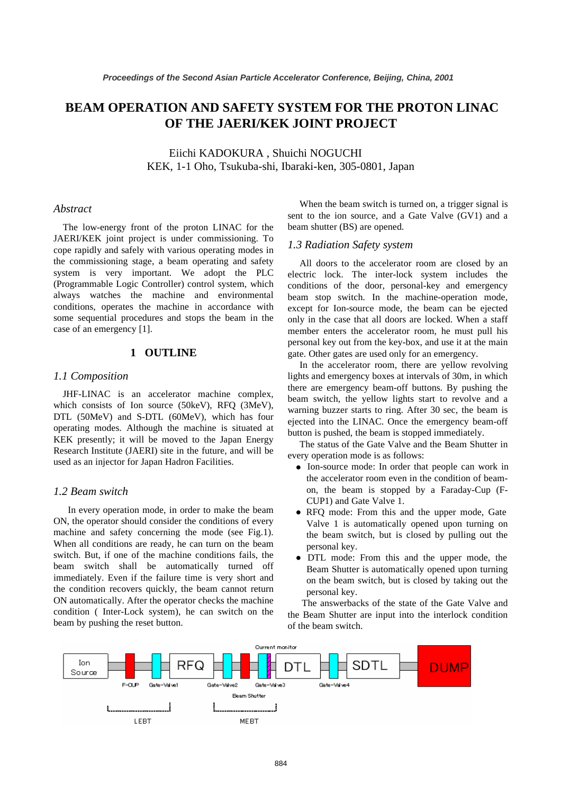# **BEAM OPERATION AND SAFETY SYSTEM FOR THE PROTON LINAC OF THE JAERI/KEK JOINT PROJECT**

Eiichi KADOKURA , Shuichi NOGUCHI KEK, 1-1 Oho, Tsukuba-shi, Ibaraki-ken, 305-0801, Japan

#### *Abstract*

The low-energy front of the proton LINAC for the JAERI/KEK joint project is under commissioning. To cope rapidly and safely with various operating modes in the commissioning stage, a beam operating and safety system is very important. We adopt the PLC (Programmable Logic Controller) control system, which always watches the machine and environmental conditions, operates the machine in accordance with some sequential procedures and stops the beam in the case of an emergency [1].

# **1 OUTLINE**

### *1.1 Composition*

JHF-LINAC is an accelerator machine complex, which consists of Ion source (50keV), RFQ (3MeV), DTL (50MeV) and S-DTL (60MeV), which has four operating modes. Although the machine is situated at KEK presently; it will be moved to the Japan Energy Research Institute (JAERI) site in the future, and will be used as an injector for Japan Hadron Facilities.

#### *1.2 Beam switch*

In every operation mode, in order to make the beam ON, the operator should consider the conditions of every machine and safety concerning the mode (see Fig.1). When all conditions are ready, he can turn on the beam switch. But, if one of the machine conditions fails, the beam switch shall be automatically turned off immediately. Even if the failure time is very short and the condition recovers quickly, the beam cannot return ON automatically. After the operator checks the machine condition ( Inter-Lock system), he can switch on the beam by pushing the reset button.

When the beam switch is turned on, a trigger signal is sent to the ion source, and a Gate Valve (GV1) and a beam shutter (BS) are opened.

#### *1.3 Radiation Safety system*

All doors to the accelerator room are closed by an electric lock. The inter-lock system includes the conditions of the door, personal-key and emergency beam stop switch. In the machine-operation mode, except for Ion-source mode, the beam can be ejected only in the case that all doors are locked. When a staff member enters the accelerator room, he must pull his personal key out from the key-box, and use it at the main gate. Other gates are used only for an emergency.

In the accelerator room, there are yellow revolving lights and emergency boxes at intervals of 30m, in which there are emergency beam-off buttons. By pushing the beam switch, the yellow lights start to revolve and a warning buzzer starts to ring. After 30 sec, the beam is ejected into the LINAC. Once the emergency beam-off button is pushed, the beam is stopped immediately.

The status of the Gate Valve and the Beam Shutter in every operation mode is as follows:

- Ion-source mode: In order that people can work in the accelerator room even in the condition of beamon, the beam is stopped by a Faraday-Cup (F-CUP1) and Gate Valve 1.
- RFQ mode: From this and the upper mode, Gate Valve 1 is automatically opened upon turning on the beam switch, but is closed by pulling out the personal key.
- DTL mode: From this and the upper mode, the Beam Shutter is automatically opened upon turning on the beam switch, but is closed by taking out the personal key.

The answerbacks of the state of the Gate Valve and the Beam Shutter are input into the interlock condition of the beam switch.

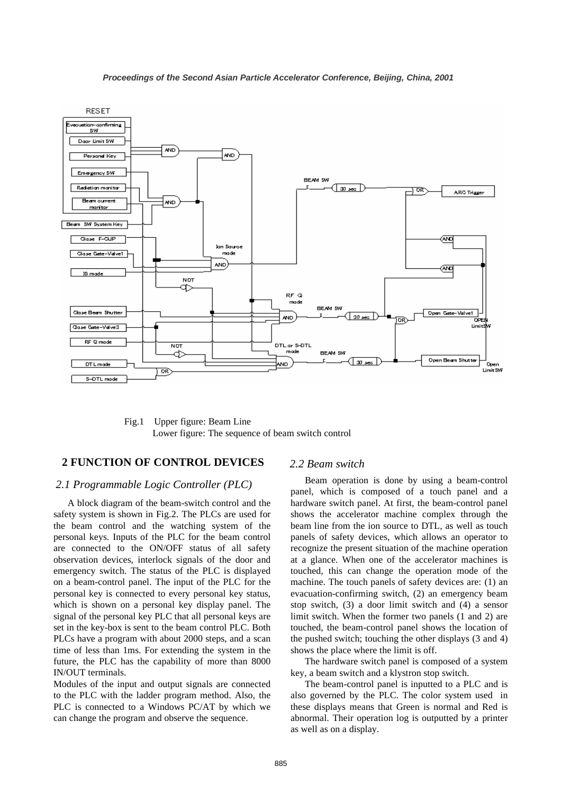

Fig.1 Upper figure: Beam Line Lower figure: The sequence of beam switch control

## **2 FUNCTION OF CONTROL DEVICES**

#### *2.1 Programmable Logic Controller (PLC)*

A block diagram of the beam-switch control and the safety system is shown in Fig.2. The PLCs are used for the beam control and the watching system of the personal keys. Inputs of the PLC for the beam control are connected to the ON/OFF status of all safety observation devices, interlock signals of the door and emergency switch. The status of the PLC is displayed on a beam-control panel. The input of the PLC for the personal key is connected to every personal key status, which is shown on a personal key display panel. The signal of the personal key PLC that all personal keys are set in the key-box is sent to the beam control PLC. Both PLCs have a program with about 2000 steps, and a scan time of less than 1ms. For extending the system in the future, the PLC has the capability of more than 8000 IN/OUT terminals.

Modules of the input and output signals are connected to the PLC with the ladder program method. Also, the PLC is connected to a Windows PC/AT by which we can change the program and observe the sequence.

#### *2.2 Beam switch*

Beam operation is done by using a beam-control panel, which is composed of a touch panel and a hardware switch panel. At first, the beam-control panel shows the accelerator machine complex through the beam line from the ion source to DTL, as well as touch panels of safety devices, which allows an operator to recognize the present situation of the machine operation at a glance. When one of the accelerator machines is touched, this can change the operation mode of the machine. The touch panels of safety devices are: (1) an evacuation-confirming switch, (2) an emergency beam stop switch, (3) a door limit switch and (4) a sensor limit switch. When the former two panels (1 and 2) are touched, the beam-control panel shows the location of the pushed switch; touching the other displays (3 and 4) shows the place where the limit is off.

The hardware switch panel is composed of a system key, a beam switch and a klystron stop switch.

The beam-control panel is inputted to a PLC and is also governed by the PLC. The color system used in these displays means that Green is normal and Red is abnormal. Their operation log is outputted by a printer as well as on a display.